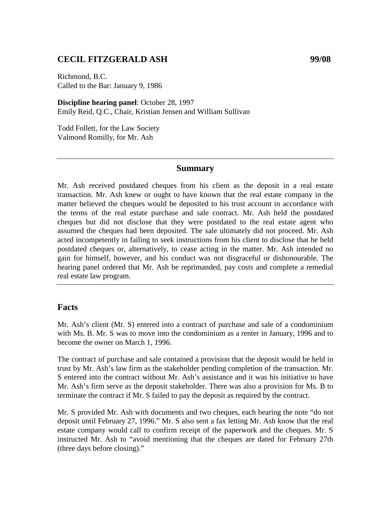### **CECIL FITZGERALD ASH 99/08**

Richmond, B.C. Called to the Bar: January 9, 1986

**Discipline hearing panel**: October 28, 1997 Emily Reid, Q.C., Chair, Kristian Jensen and William Sullivan

Todd Follett, for the Law Society Valmond Romilly, for Mr. Ash

#### **Summary**

Mr. Ash received postdated cheques from his client as the deposit in a real estate transaction. Mr. Ash knew or ought to have known that the real estate company in the matter believed the cheques would be deposited to his trust account in accordance with the terms of the real estate purchase and sale contract. Mr. Ash held the postdated cheques but did not disclose that they were postdated to the real estate agent who assumed the cheques had been deposited. The sale ultimately did not proceed. Mr. Ash acted incompetently in failing to seek instructions from his client to disclose that he held postdated cheques or, alternatively, to cease acting in the matter. Mr. Ash intended no gain for himself, however, and his conduct was not disgraceful or dishonourable. The hearing panel ordered that Mr. Ash be reprimanded, pay costs and complete a remedial real estate law program.

#### **Facts**

Mr. Ash's client (Mr. S) entered into a contract of purchase and sale of a condominium with Ms. B. Mr. S was to move into the condominium as a renter in January, 1996 and to become the owner on March 1, 1996.

The contract of purchase and sale contained a provision that the deposit would be held in trust by Mr. Ash's law firm as the stakeholder pending completion of the transaction. Mr. S entered into the contract without Mr. Ash's assistance and it was his initiative to have Mr. Ash's firm serve as the deposit stakeholder. There was also a provision for Ms. B to terminate the contract if Mr. S failed to pay the deposit as required by the contract.

Mr. S provided Mr. Ash with documents and two cheques, each bearing the note "do not deposit until February 27, 1996." Mr. S also sent a fax letting Mr. Ash know that the real estate company would call to confirm receipt of the paperwork and the cheques. Mr. S instructed Mr. Ash to "avoid mentioning that the cheques are dated for February 27th (three days before closing)."